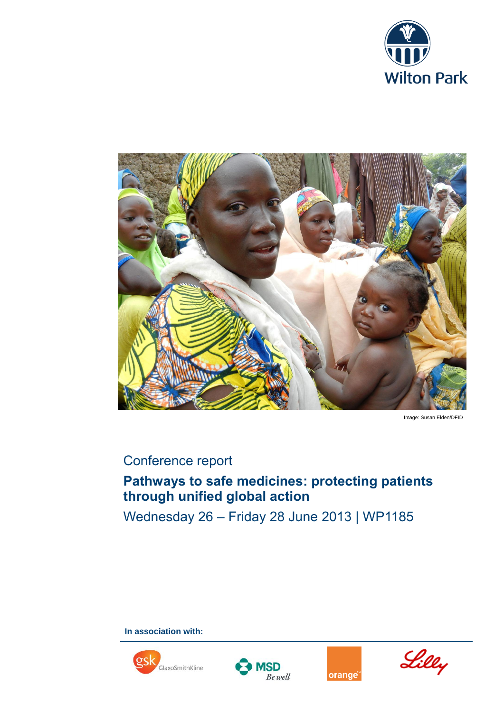



Image: Susan Elden/DFID

## Conference report

# **Pathways to safe medicines: protecting patients through unified global action**

Wednesday 26 – Friday 28 June 2013 | WP1185

**In association with:**







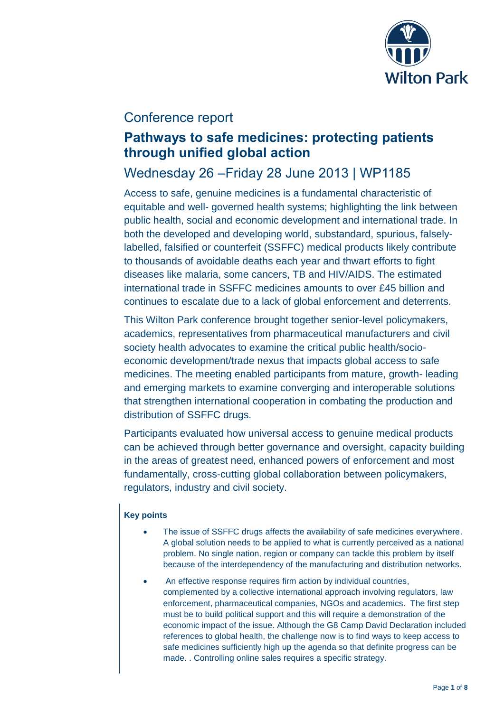

### Conference report

## **Pathways to safe medicines: protecting patients through unified global action**

## Wednesday 26 –Friday 28 June 2013 | WP1185

Access to safe, genuine medicines is a fundamental characteristic of equitable and well- governed health systems; highlighting the link between public health, social and economic development and international trade. In both the developed and developing world, substandard, spurious, falselylabelled, falsified or counterfeit (SSFFC) medical products likely contribute to thousands of avoidable deaths each year and thwart efforts to fight diseases like malaria, some cancers, TB and HIV/AIDS. The estimated international trade in SSFFC medicines amounts to over £45 billion and continues to escalate due to a lack of global enforcement and deterrents.

This Wilton Park conference brought together senior-level policymakers, academics, representatives from pharmaceutical manufacturers and civil society health advocates to examine the critical public health/socioeconomic development/trade nexus that impacts global access to safe medicines. The meeting enabled participants from mature, growth- leading and emerging markets to examine converging and interoperable solutions that strengthen international cooperation in combating the production and distribution of SSFFC drugs.

Participants evaluated how universal access to genuine medical products can be achieved through better governance and oversight, capacity building in the areas of greatest need, enhanced powers of enforcement and most fundamentally, cross-cutting global collaboration between policymakers, regulators, industry and civil society.

### **Key points**

- The issue of SSFFC drugs affects the availability of safe medicines everywhere. A global solution needs to be applied to what is currently perceived as a national problem. No single nation, region or company can tackle this problem by itself because of the interdependency of the manufacturing and distribution networks.
- An effective response requires firm action by individual countries, complemented by a collective international approach involving regulators, law enforcement, pharmaceutical companies, NGOs and academics. The first step must be to build political support and this will require a demonstration of the economic impact of the issue. Although the G8 Camp David Declaration included references to global health, the challenge now is to find ways to keep access to safe medicines sufficiently high up the agenda so that definite progress can be made. . Controlling online sales requires a specific strategy.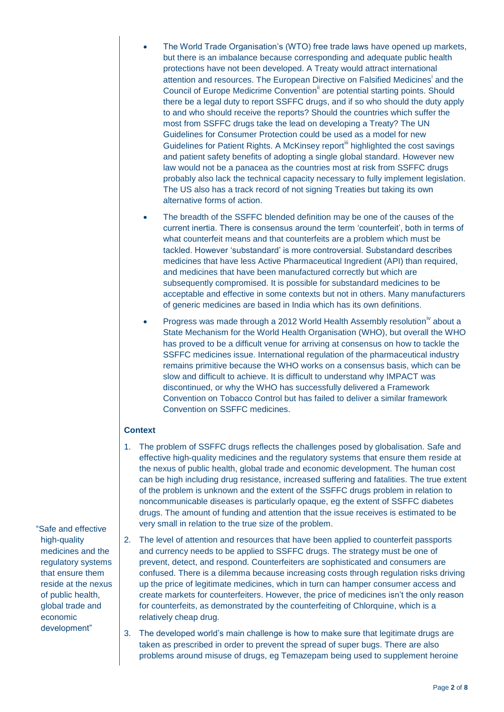- The World Trade Organisation's (WTO) free trade laws have opened up markets, but there is an imbalance because corresponding and adequate public health protections have not been developed. A Treaty would attract international attention and resources. The European Directive on Falsified Medicines<sup>i</sup> and the Council of Europe Medicrime Convention<sup>ii</sup> are potential starting points. Should there be a legal duty to report SSFFC drugs, and if so who should the duty apply to and who should receive the reports? Should the countries which suffer the most from SSFFC drugs take the lead on developing a Treaty? The UN Guidelines for Consumer Protection could be used as a model for new Guidelines for Patient Rights. A McKinsey report *highlighted the cost savings* and patient safety benefits of adopting a single global standard. However new law would not be a panacea as the countries most at risk from SSFFC drugs probably also lack the technical capacity necessary to fully implement legislation. The US also has a track record of not signing Treaties but taking its own alternative forms of action.
- The breadth of the SSFFC blended definition may be one of the causes of the current inertia. There is consensus around the term 'counterfeit', both in terms of what counterfeit means and that counterfeits are a problem which must be tackled. However 'substandard' is more controversial. Substandard describes medicines that have less Active Pharmaceutical Ingredient (API) than required, and medicines that have been manufactured correctly but which are subsequently compromised. It is possible for substandard medicines to be acceptable and effective in some contexts but not in others. Many manufacturers of generic medicines are based in India which has its own definitions.
- Progress was made through a 2012 World Health Assembly resolution<sup>iv</sup> about a State Mechanism for the World Health Organisation (WHO), but overall the WHO has proved to be a difficult venue for arriving at consensus on how to tackle the SSFFC medicines issue. International regulation of the pharmaceutical industry remains primitive because the WHO works on a consensus basis, which can be slow and difficult to achieve. It is difficult to understand why IMPACT was discontinued, or why the WHO has successfully delivered a Framework Convention on Tobacco Control but has failed to deliver a similar framework Convention on SSFFC medicines.

#### **Context**

- 1. The problem of SSFFC drugs reflects the challenges posed by globalisation. Safe and effective high-quality medicines and the regulatory systems that ensure them reside at the nexus of public health, global trade and economic development. The human cost can be high including drug resistance, increased suffering and fatalities. The true extent of the problem is unknown and the extent of the SSFFC drugs problem in relation to noncommunicable diseases is particularly opaque, eg the extent of SSFFC diabetes drugs. The amount of funding and attention that the issue receives is estimated to be very small in relation to the true size of the problem.
- "Safe and effective high-quality medicines and the regulatory systems that ensure them reside at the nexus of public health, global trade and economic development"
	- 2. The level of attention and resources that have been applied to counterfeit passports and currency needs to be applied to SSFFC drugs. The strategy must be one of prevent, detect, and respond. Counterfeiters are sophisticated and consumers are confused. There is a dilemma because increasing costs through regulation risks driving up the price of legitimate medicines, which in turn can hamper consumer access and create markets for counterfeiters. However, the price of medicines isn't the only reason for counterfeits, as demonstrated by the counterfeiting of Chlorquine, which is a relatively cheap drug.
	- 3. The developed world's main challenge is how to make sure that legitimate drugs are taken as prescribed in order to prevent the spread of super bugs. There are also problems around misuse of drugs, eg Temazepam being used to supplement heroine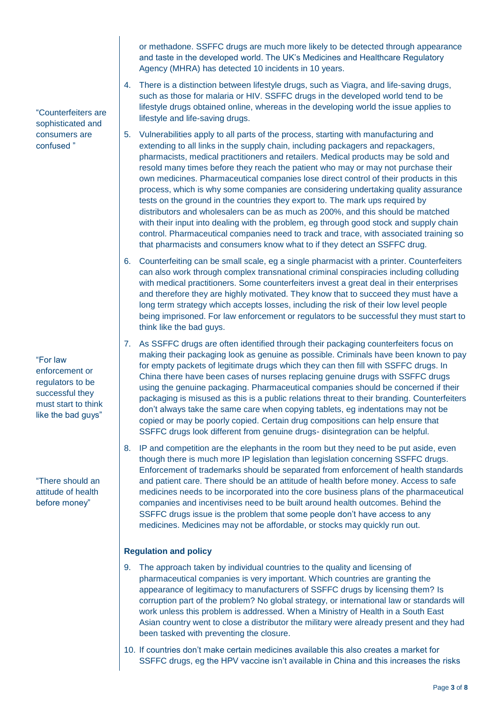or methadone. SSFFC drugs are much more likely to be detected through appearance and taste in the developed world. The UK's Medicines and Healthcare Regulatory Agency (MHRA) has detected 10 incidents in 10 years.

- 4. There is a distinction between lifestyle drugs, such as Viagra, and life-saving drugs, such as those for malaria or HIV. SSFFC drugs in the developed world tend to be lifestyle drugs obtained online, whereas in the developing world the issue applies to lifestyle and life-saving drugs.
- 5. Vulnerabilities apply to all parts of the process, starting with manufacturing and extending to all links in the supply chain, including packagers and repackagers, pharmacists, medical practitioners and retailers. Medical products may be sold and resold many times before they reach the patient who may or may not purchase their own medicines. Pharmaceutical companies lose direct control of their products in this process, which is why some companies are considering undertaking quality assurance tests on the ground in the countries they export to. The mark ups required by distributors and wholesalers can be as much as 200%, and this should be matched with their input into dealing with the problem, eg through good stock and supply chain control. Pharmaceutical companies need to track and trace, with associated training so that pharmacists and consumers know what to if they detect an SSFFC drug.
- 6. Counterfeiting can be small scale, eg a single pharmacist with a printer. Counterfeiters can also work through complex transnational criminal conspiracies including colluding with medical practitioners. Some counterfeiters invest a great deal in their enterprises and therefore they are highly motivated. They know that to succeed they must have a long term strategy which accepts losses, including the risk of their low level people being imprisoned. For law enforcement or regulators to be successful they must start to think like the bad guys.
- 7. As SSFFC drugs are often identified through their packaging counterfeiters focus on making their packaging look as genuine as possible. Criminals have been known to pay for empty packets of legitimate drugs which they can then fill with SSFFC drugs. In China there have been cases of nurses replacing genuine drugs with SSFFC drugs using the genuine packaging. Pharmaceutical companies should be concerned if their packaging is misused as this is a public relations threat to their branding. Counterfeiters don't always take the same care when copying tablets, eg indentations may not be copied or may be poorly copied. Certain drug compositions can help ensure that SSFFC drugs look different from genuine drugs- disintegration can be helpful.
- 8. IP and competition are the elephants in the room but they need to be put aside, even though there is much more IP legislation than legislation concerning SSFFC drugs. Enforcement of trademarks should be separated from enforcement of health standards and patient care. There should be an attitude of health before money. Access to safe medicines needs to be incorporated into the core business plans of the pharmaceutical companies and incentivises need to be built around health outcomes. Behind the SSFFC drugs issue is the problem that some people don't have access to any medicines. Medicines may not be affordable, or stocks may quickly run out.

### **Regulation and policy**

- 9. The approach taken by individual countries to the quality and licensing of pharmaceutical companies is very important. Which countries are granting the appearance of legitimacy to manufacturers of SSFFC drugs by licensing them? Is corruption part of the problem? No global strategy, or international law or standards will work unless this problem is addressed. When a Ministry of Health in a South East Asian country went to close a distributor the military were already present and they had been tasked with preventing the closure.
- 10. If countries don't make certain medicines available this also creates a market for SSFFC drugs, eg the HPV vaccine isn't available in China and this increases the risks

"Counterfeiters are sophisticated and consumers are confused "

"For law enforcement or regulators to be successful they must start to think like the bad guys"

"There should an attitude of health before money"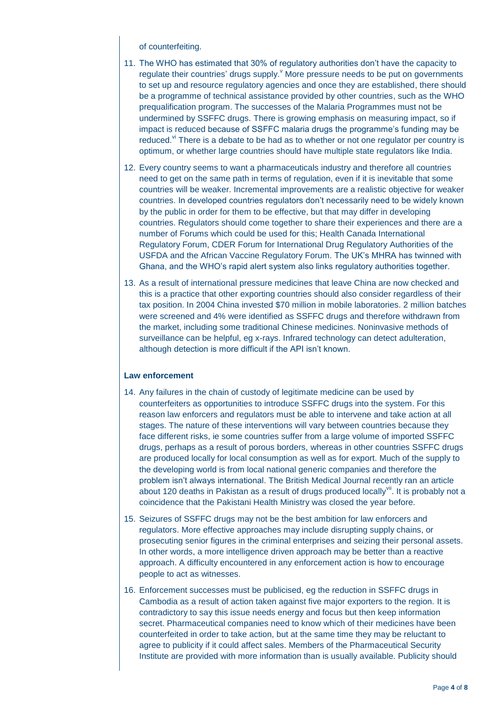of counterfeiting.

- 11. The WHO has estimated that 30% of regulatory authorities don't have the capacity to regulate their countries' drugs supply. $\degree$  More pressure needs to be put on governments to set up and resource regulatory agencies and once they are established, there should be a programme of technical assistance provided by other countries, such as the WHO prequalification program. The successes of the Malaria Programmes must not be undermined by SSFFC drugs. There is growing emphasis on measuring impact, so if impact is reduced because of SSFFC malaria drugs the programme's funding may be reduced. $v$ <sup>T</sup> There is a debate to be had as to whether or not one regulator per country is optimum, or whether large countries should have multiple state regulators like India.
- 12. Every country seems to want a pharmaceuticals industry and therefore all countries need to get on the same path in terms of regulation, even if it is inevitable that some countries will be weaker. Incremental improvements are a realistic objective for weaker countries. In developed countries regulators don't necessarily need to be widely known by the public in order for them to be effective, but that may differ in developing countries. Regulators should come together to share their experiences and there are a number of Forums which could be used for this; Health Canada International Regulatory Forum, CDER Forum for International Drug Regulatory Authorities of the USFDA and the African Vaccine Regulatory Forum. The UK's MHRA has twinned with Ghana, and the WHO's rapid alert system also links regulatory authorities together.
- 13. As a result of international pressure medicines that leave China are now checked and this is a practice that other exporting countries should also consider regardless of their tax position. In 2004 China invested \$70 million in mobile laboratories. 2 million batches were screened and 4% were identified as SSFFC drugs and therefore withdrawn from the market, including some traditional Chinese medicines. Noninvasive methods of surveillance can be helpful, eg x-rays. Infrared technology can detect adulteration, although detection is more difficult if the API isn't known.

#### **Law enforcement**

- 14. Any failures in the chain of custody of legitimate medicine can be used by counterfeiters as opportunities to introduce SSFFC drugs into the system. For this reason law enforcers and regulators must be able to intervene and take action at all stages. The nature of these interventions will vary between countries because they face different risks, ie some countries suffer from a large volume of imported SSFFC drugs, perhaps as a result of porous borders, whereas in other countries SSFFC drugs are produced locally for local consumption as well as for export. Much of the supply to the developing world is from local national generic companies and therefore the problem isn't always international. The British Medical Journal recently ran an article about 120 deaths in Pakistan as a result of drugs produced locally $\mathsf{v}^{\mathsf{iii}}$ . It is probably not a coincidence that the Pakistani Health Ministry was closed the year before.
- 15. Seizures of SSFFC drugs may not be the best ambition for law enforcers and regulators. More effective approaches may include disrupting supply chains, or prosecuting senior figures in the criminal enterprises and seizing their personal assets. In other words, a more intelligence driven approach may be better than a reactive approach. A difficulty encountered in any enforcement action is how to encourage people to act as witnesses.
- 16. Enforcement successes must be publicised, eg the reduction in SSFFC drugs in Cambodia as a result of action taken against five major exporters to the region. It is contradictory to say this issue needs energy and focus but then keep information secret. Pharmaceutical companies need to know which of their medicines have been counterfeited in order to take action, but at the same time they may be reluctant to agree to publicity if it could affect sales. Members of the Pharmaceutical Security Institute are provided with more information than is usually available. Publicity should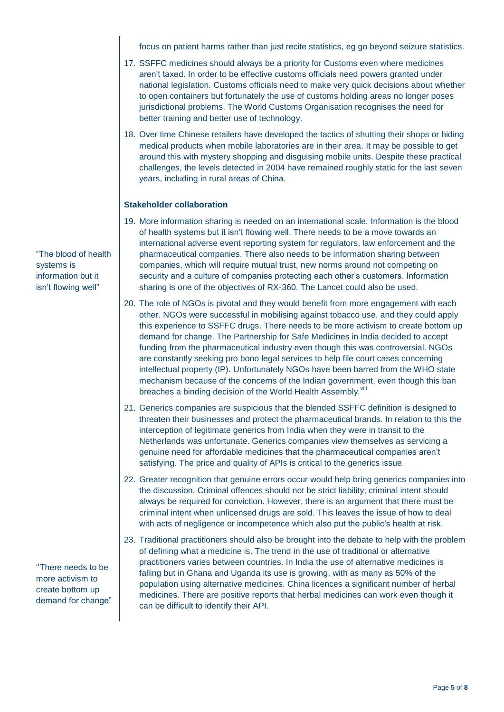focus on patient harms rather than just recite statistics, eg go beyond seizure statistics.

- 17. SSFFC medicines should always be a priority for Customs even where medicines aren't taxed. In order to be effective customs officials need powers granted under national legislation. Customs officials need to make very quick decisions about whether to open containers but fortunately the use of customs holding areas no longer poses jurisdictional problems. The World Customs Organisation recognises the need for better training and better use of technology.
- 18. Over time Chinese retailers have developed the tactics of shutting their shops or hiding medical products when mobile laboratories are in their area. It may be possible to get around this with mystery shopping and disguising mobile units. Despite these practical challenges, the levels detected in 2004 have remained roughly static for the last seven years, including in rural areas of China.

### **Stakeholder collaboration**

- 19. More information sharing is needed on an international scale. Information is the blood of health systems but it isn't flowing well. There needs to be a move towards an international adverse event reporting system for regulators, law enforcement and the pharmaceutical companies. There also needs to be information sharing between companies, which will require mutual trust, new norms around not competing on security and a culture of companies protecting each other's customers. Information sharing is one of the objectives of RX-360. The Lancet could also be used.
- 20. The role of NGOs is pivotal and they would benefit from more engagement with each other. NGOs were successful in mobilising against tobacco use, and they could apply this experience to SSFFC drugs. There needs to be more activism to create bottom up demand for change. The Partnership for Safe Medicines in India decided to accept funding from the pharmaceutical industry even though this was controversial. NGOs are constantly seeking pro bono legal services to help file court cases concerning intellectual property (IP). Unfortunately NGOs have been barred from the WHO state mechanism because of the concerns of the Indian government, even though this ban breaches a binding decision of the World Health Assembly.<sup>viii</sup>
- 21. Generics companies are suspicious that the blended SSFFC definition is designed to threaten their businesses and protect the pharmaceutical brands. In relation to this the interception of legitimate generics from India when they were in transit to the Netherlands was unfortunate. Generics companies view themselves as servicing a genuine need for affordable medicines that the pharmaceutical companies aren't satisfying. The price and quality of APIs is critical to the generics issue.
- 22. Greater recognition that genuine errors occur would help bring generics companies into the discussion. Criminal offences should not be strict liability; criminal intent should always be required for conviction. However, there is an argument that there must be criminal intent when unlicensed drugs are sold. This leaves the issue of how to deal with acts of negligence or incompetence which also put the public's health at risk.
- 23. Traditional practitioners should also be brought into the debate to help with the problem of defining what a medicine is. The trend in the use of traditional or alternative practitioners varies between countries. In India the use of alternative medicines is falling but in Ghana and Uganda its use is growing, with as many as 50% of the population using alternative medicines. China licences a significant number of herbal medicines. There are positive reports that herbal medicines can work even though it can be difficult to identify their API.

"The blood of health systems is information but it isn't flowing well"

''There needs to be more activism to create bottom up demand for change"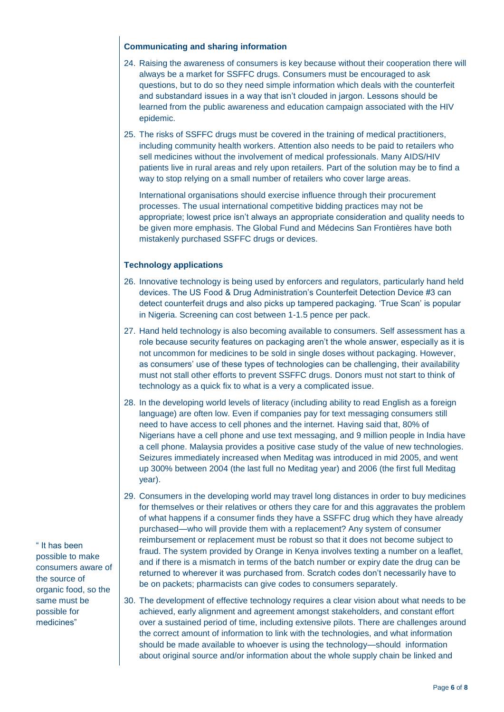#### **Communicating and sharing information**

- 24. Raising the awareness of consumers is key because without their cooperation there will always be a market for SSFFC drugs. Consumers must be encouraged to ask questions, but to do so they need simple information which deals with the counterfeit and substandard issues in a way that isn't clouded in jargon. Lessons should be learned from the public awareness and education campaign associated with the HIV epidemic.
- 25. The risks of SSFFC drugs must be covered in the training of medical practitioners, including community health workers. Attention also needs to be paid to retailers who sell medicines without the involvement of medical professionals. Many AIDS/HIV patients live in rural areas and rely upon retailers. Part of the solution may be to find a way to stop relying on a small number of retailers who cover large areas.

International organisations should exercise influence through their procurement processes. The usual international competitive bidding practices may not be appropriate; lowest price isn't always an appropriate consideration and quality needs to be given more emphasis. The Global Fund and Médecins San Frontières have both mistakenly purchased SSFFC drugs or devices.

### **Technology applications**

- 26. Innovative technology is being used by enforcers and regulators, particularly hand held devices. The US Food & Drug Administration's Counterfeit Detection Device #3 can detect counterfeit drugs and also picks up tampered packaging. 'True Scan' is popular in Nigeria. Screening can cost between 1-1.5 pence per pack.
- 27. Hand held technology is also becoming available to consumers. Self assessment has a role because security features on packaging aren't the whole answer, especially as it is not uncommon for medicines to be sold in single doses without packaging. However, as consumers' use of these types of technologies can be challenging, their availability must not stall other efforts to prevent SSFFC drugs. Donors must not start to think of technology as a quick fix to what is a very a complicated issue.
- 28. In the developing world levels of literacy (including ability to read English as a foreign language) are often low. Even if companies pay for text messaging consumers still need to have access to cell phones and the internet. Having said that, 80% of Nigerians have a cell phone and use text messaging, and 9 million people in India have a cell phone. Malaysia provides a positive case study of the value of new technologies. Seizures immediately increased when Meditag was introduced in mid 2005, and went up 300% between 2004 (the last full no Meditag year) and 2006 (the first full Meditag year).
- 29. Consumers in the developing world may travel long distances in order to buy medicines for themselves or their relatives or others they care for and this aggravates the problem of what happens if a consumer finds they have a SSFFC drug which they have already purchased—who will provide them with a replacement? Any system of consumer reimbursement or replacement must be robust so that it does not become subject to fraud. The system provided by Orange in Kenya involves texting a number on a leaflet, and if there is a mismatch in terms of the batch number or expiry date the drug can be returned to wherever it was purchased from. Scratch codes don't necessarily have to be on packets; pharmacists can give codes to consumers separately.
- 30. The development of effective technology requires a clear vision about what needs to be achieved, early alignment and agreement amongst stakeholders, and constant effort over a sustained period of time, including extensive pilots. There are challenges around the correct amount of information to link with the technologies, and what information should be made available to whoever is using the technology—should information about original source and/or information about the whole supply chain be linked and

" It has been possible to make consumers aware of the source of organic food, so the same must be possible for medicines"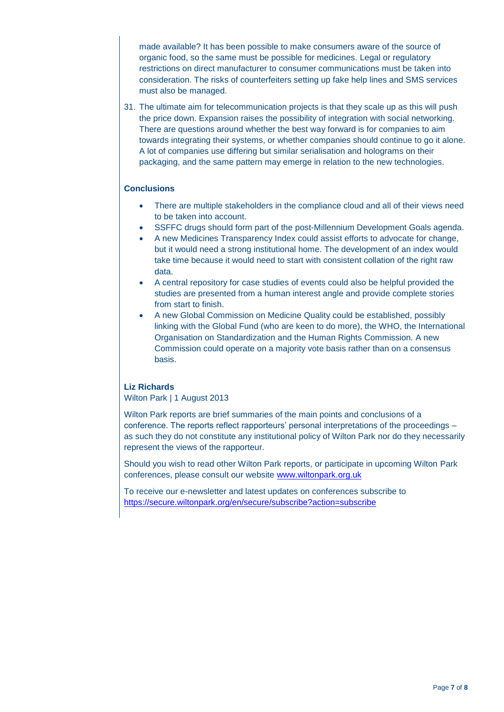made available? It has been possible to make consumers aware of the source of organic food, so the same must be possible for medicines. Legal or regulatory restrictions on direct manufacturer to consumer communications must be taken into consideration. The risks of counterfeiters setting up fake help lines and SMS services must also be managed.

31. The ultimate aim for telecommunication projects is that they scale up as this will push the price down. Expansion raises the possibility of integration with social networking. There are questions around whether the best way forward is for companies to aim towards integrating their systems, or whether companies should continue to go it alone. A lot of companies use differing but similar serialisation and holograms on their packaging, and the same pattern may emerge in relation to the new technologies.

#### **Conclusions**

- There are multiple stakeholders in the compliance cloud and all of their views need to be taken into account.
- SSFFC drugs should form part of the post-Millennium Development Goals agenda.
- A new Medicines Transparency Index could assist efforts to advocate for change, but it would need a strong institutional home. The development of an index would take time because it would need to start with consistent collation of the right raw data.
- A central repository for case studies of events could also be helpful provided the studies are presented from a human interest angle and provide complete stories from start to finish.
- A new Global Commission on Medicine Quality could be established, possibly linking with the Global Fund (who are keen to do more), the WHO, the International Organisation on Standardization and the Human Rights Commission. A new Commission could operate on a majority vote basis rather than on a consensus basis.

#### **Liz Richards**

Wilton Park | 1 August 2013

Wilton Park reports are brief summaries of the main points and conclusions of a conference. The reports reflect rapporteurs' personal interpretations of the proceedings – as such they do not constitute any institutional policy of Wilton Park nor do they necessarily represent the views of the rapporteur.

Should you wish to read other Wilton Park reports, or participate in upcoming Wilton Park conferences, please consult our website [www.wiltonpark.org.uk](http://www.wiltonpark.org.uk/)

To receive our e-newsletter and latest updates on conferences subscribe to <https://secure.wiltonpark.org/en/secure/subscribe?action=subscribe>